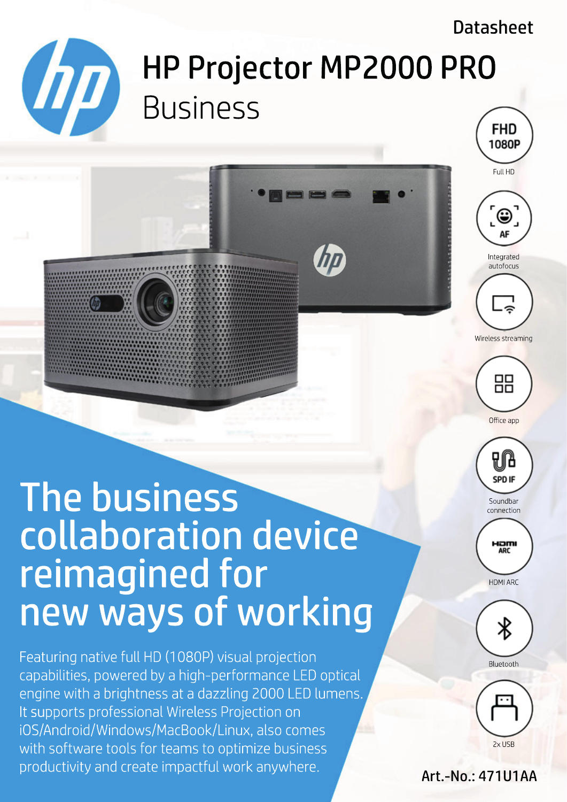# **Datasheet**

# HP Projector MP2000 PRO Business **FHD**

Full HD

1080P



Integrated autofocus



Wireless streaming



Office app

# The business collaboration device reimagined for new ways of working

**IDD** 

HP is a trademark of HP Inc. or its affiliates, used by GT Technology Chongqing Limited under license from HP Inc.: productivity and create impactful work anywhere.  $\qquad$ sales-hp $\epsilon$ ent.go-europe.com | https://officeeduipment.go-europe.com | Fon: +49 (0) 2324 6801  $\epsilon$ Featuring native full HD (1080P) visual projection capabilities, powered by a high-performance LED optical engine with a brightness at a dazzling 2000 LED lumens. It supports professional Wireless Projection on iOS/Android/Windows/MacBook/Linux, also comes with software tools for teams to optimize business



Hamı **ARC** HDMI ARC



Bluetooth



## Art.-No.: 471U1AA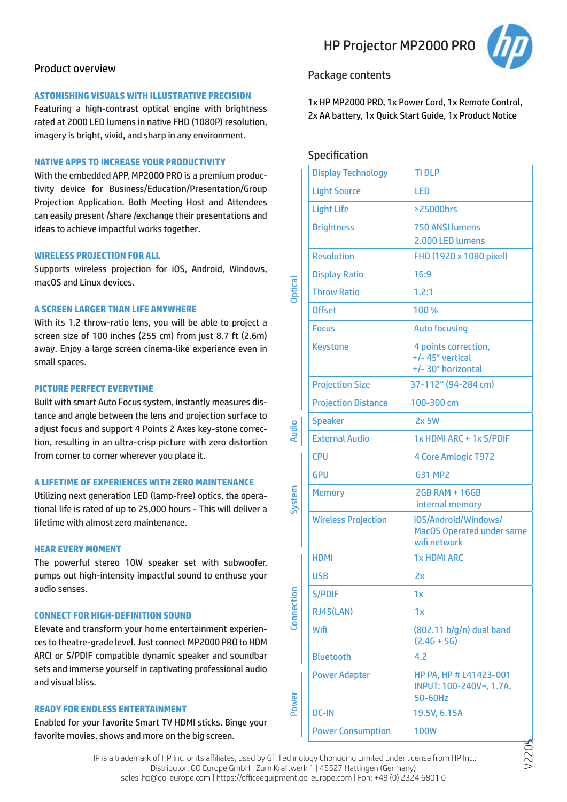#### Product overview

#### **ASTONISHING VISUALS WITH ILLUSTRATIVE PRECISION**

Featuring a high-contrast optical engine with brightness rated at 2000 LED lumens in native FHD (1080P) resolution, imagery is bright, vivid, and sharp in any environment.

#### **NATIVE APPS TO INCREASE YOUR PRODUCTIVITY**

With the embedded APP, MP2000 PRO is a premium productivity device for Business/Education/Presentation/Group Projection Application. Both Meeting Host and Attendees can easily present /share /exchange their presentations and ideas to achieve impactful works together.

#### **WIRELESS PROJECTION FOR ALL**

Supports wireless projection for iOS, Android, Windows, macOS and Linux devices.

#### **A SCREEN LARGER THAN LIFE ANYWHERE**

With its 1.2 throw-ratio lens, you will be able to project a screen size of 100 inches (255 cm) from just 8.7 ft (2.6m) away. Enjoy a large screen cinema-like experience even in small spaces.

#### **PICTURE PERFECT EVERYTIME**

Built with smart Auto Focus system, instantly measures distance and angle between the lens and projection surface to adjust focus and support 4 Points 2 Axes key-stone correction, resulting in an ultra-crisp picture with zero distortion from corner to corner wherever you place it.

#### **A LIFETIME OF EXPERIENCES WITH ZERO MAINTENANCE**

Utilizing next generation LED (lamp-free) optics, the operational life is rated of up to 25,000 hours - This will deliver a lifetime with almost zero maintenance.

#### **HEAR EVERY MOMENT**

The powerful stereo 10W speaker set with subwoofer, pumps out high-intensity impactful sound to enthuse your audio senses.

#### **CONNECT FOR HIGH-DEFINITION SOUND**

Elevate and transform your home entertainment experiences to theatre-grade level. Just connect MP2000 PRO to HDM ARCI or S/PDIF compatible dynamic speaker and soundbar sets and immerse yourself in captivating professional audio and visual bliss.

#### **READY FOR ENDLESS ENTERTAINMENT**

Enabled for your favorite Smart TV HDMI sticks. Binge your favorite movies, shows and more on the big screen.

### HP Projector MP2000 PRO



#### Package contents

1x HP MP2000 PRO, 1x Power Cord, 1x Remote Control, 2x AA battery, 1x Quick Start Guide, 1x Product Notice

#### Specification

|                                | <b>Display Technology</b>                                                                   | <b>TI DLP</b>                                                            |  |
|--------------------------------|---------------------------------------------------------------------------------------------|--------------------------------------------------------------------------|--|
| <b>Optical</b><br><b>Audio</b> | <b>Light Source</b>                                                                         | <b>LED</b>                                                               |  |
|                                | <b>Light Life</b>                                                                           | >25000hrs                                                                |  |
|                                | <b>Brightness</b>                                                                           | 750 ANSI lumens                                                          |  |
|                                | <b>Resolution</b>                                                                           | 2.000 LED lumens                                                         |  |
|                                |                                                                                             | FHD (1920 x 1080 pixel)                                                  |  |
|                                | <b>Display Ratio</b>                                                                        | 16:9                                                                     |  |
|                                | <b>Throw Ratio</b>                                                                          | 1.2:1                                                                    |  |
|                                | <b>Offset</b>                                                                               | 100 %                                                                    |  |
|                                | <b>Focus</b>                                                                                | <b>Auto focusing</b>                                                     |  |
|                                | <b>Keystone</b>                                                                             | 4 points correction,<br>+/-45° vertical<br>+/-30° horizontal             |  |
|                                | <b>Projection Size</b>                                                                      | 37-112" (94-284 cm)                                                      |  |
|                                | <b>Projection Distance</b>                                                                  | 100-300 cm                                                               |  |
|                                | <b>Speaker</b>                                                                              | <b>2x 5W</b>                                                             |  |
|                                | <b>External Audio</b>                                                                       | 1x HDMI ARC + 1x S/PDIF                                                  |  |
|                                | <b>CPU</b>                                                                                  | 4 Core Amlogic T972                                                      |  |
|                                | <b>GPU</b>                                                                                  | <b>G31 MP2</b>                                                           |  |
| System                         | <b>Memory</b>                                                                               | <b>2GB RAM + 16GB</b><br>internal memory                                 |  |
|                                | <b>Wireless Projection</b>                                                                  | iOS/Android/Windows/<br><b>MacOS Operated under same</b><br>wifi network |  |
|                                | <b>HDMI</b>                                                                                 | <b>1x HDMI ARC</b>                                                       |  |
|                                | <b>USB</b>                                                                                  | 2x                                                                       |  |
| Connection                     | <b>S/PDIF</b>                                                                               | 1x                                                                       |  |
|                                | <b>RJ45(LAN)</b>                                                                            | 1x                                                                       |  |
|                                | Wifi                                                                                        | (802.11 b/g/n) dual band<br>$(2.4G + 5G)$                                |  |
|                                | <b>Bluetooth</b>                                                                            | 4.2                                                                      |  |
| Power                          | <b>Power Adapter</b>                                                                        | HP PA, HP # L41423-001<br>INPUT: 100-240V~, 1.7A,<br>50-60Hz             |  |
|                                | <b>DC-IN</b>                                                                                | 19.5V, 6.15A                                                             |  |
|                                | <b>Power Consumption</b>                                                                    | <b>100W</b>                                                              |  |
|                                | hnology Chongqing Limited under license from HP Inc.:<br>work 1   15527 Hattingon (Cormany) |                                                                          |  |

HP is a trademark of HP Inc. or its affiliates, used by GT Technology Chongqing Limited under license from HP Inc.: Distributor: GO Europe GmbH | Zum Kraftwerk 1 | 45527 Hattingen (Germany) sales-hp@go-europe.com | https://officeequipment.go-europe.com | Fon: +49 (0) 2324 6801 0